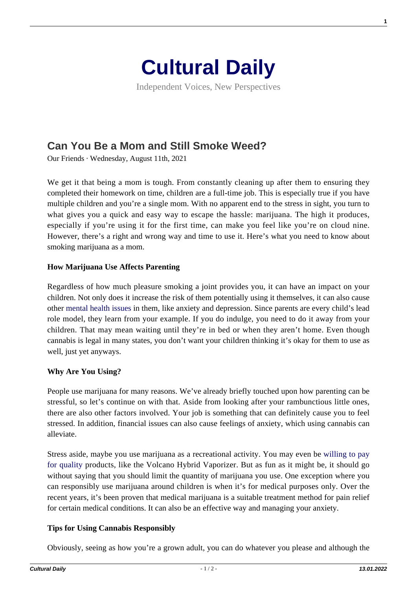

Independent Voices, New Perspectives

# **[Can You Be a Mom and Still Smoke Weed?](https://culturaldaily.com/can-you-be-a-mom-and-still-smoke-weed/)**

Our Friends · Wednesday, August 11th, 2021

We get it that being a mom is tough. From constantly cleaning up after them to ensuring they completed their homework on time, children are a full-time job. This is especially true if you have multiple children and you're a single mom. With no apparent end to the stress in sight, you turn to what gives you a quick and easy way to escape the hassle: marijuana. The high it produces, especially if you're using it for the first time, can make you feel like you're on cloud nine. However, there's a right and wrong way and time to use it. Here's what you need to know about smoking marijuana as a mom.

## **How Marijuana Use Affects Parenting**

Regardless of how much pleasure smoking a joint provides you, it can have an impact on your children. Not only does it increase the risk of them potentially using it themselves, it can also cause other [mental health issues](https://www.mayoclinic.org/healthy-lifestyle/childrens-health/in-depth/mental-illness-in-children/art-20046577) in them, like anxiety and depression. Since parents are every child's lead role model, they learn from your example. If you do indulge, you need to do it away from your children. That may mean waiting until they're in bed or when they aren't home. Even though cannabis is legal in many states, you don't want your children thinking it's okay for them to use as well, just yet anyways.

## **Why Are You Using?**

People use marijuana for many reasons. We've already briefly touched upon how parenting can be stressful, so let's continue on with that. Aside from looking after your rambunctious little ones, there are also other factors involved. Your job is something that can definitely cause you to feel stressed. In addition, financial issues can also cause feelings of anxiety, which using cannabis can alleviate.

Stress aside, maybe you use marijuana as a recreational activity. You may even be [willing to pay](https://www.planetofthevapes.com/products/volcano-hybrid-vaporizer) [for quality](https://www.planetofthevapes.com/products/volcano-hybrid-vaporizer) products, like the Volcano Hybrid Vaporizer. But as fun as it might be, it should go without saying that you should limit the quantity of marijuana you use. One exception where you can responsibly use marijuana around children is when it's for medical purposes only. Over the recent years, it's been proven that medical marijuana is a suitable treatment method for pain relief for certain medical conditions. It can also be an effective way and managing your anxiety.

## **Tips for Using Cannabis Responsibly**

Obviously, seeing as how you're a grown adult, you can do whatever you please and although the

**1**